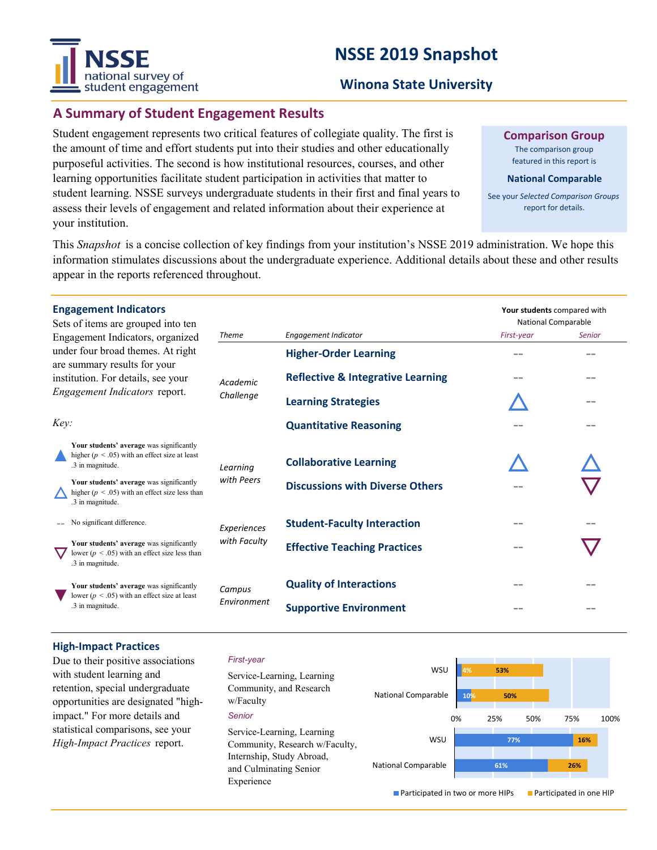# **NSSE 2019 Snapshot**



#### **Winona State University**

#### **A Summary of Student Engagement Results**

Student engagement represents two critical features of collegiate quality. The first is the amount of time and effort students put into their studies and other educationally purposeful activities. The second is how institutional resources, courses, and other learning opportunities facilitate student participation in activities that matter to student learning. NSSE surveys undergraduate students in their first and final years to assess their levels of engagement and related information about their experience at your institution.

**Comparison Group**

The comparison group featured in this report is

#### **National Comparable**

See your *Selected Comparison Groups* report for details.

**Your students** compared with

This *Snapshot* is a concise collection of key findings from your institution's NSSE 2019 administration. We hope this information stimulates discussions about the undergraduate experience. Additional details about these and other results appear in the reports referenced throughout.

#### **Engagement Indicators**

| Sets of items are grouped into ten<br>Engagement Indicators, organized<br>under four broad themes. At right<br>are summary results for your<br>institution. For details, see your<br>Engagement Indicators report. |                                                                                                                    |                             |                                              | <b>National Comparable</b> |               |
|--------------------------------------------------------------------------------------------------------------------------------------------------------------------------------------------------------------------|--------------------------------------------------------------------------------------------------------------------|-----------------------------|----------------------------------------------|----------------------------|---------------|
|                                                                                                                                                                                                                    |                                                                                                                    | <b>Theme</b>                | Engagement Indicator                         | First-year                 | <b>Senior</b> |
|                                                                                                                                                                                                                    |                                                                                                                    | Academic<br>Challenge       | <b>Higher-Order Learning</b>                 | --                         | - -           |
|                                                                                                                                                                                                                    |                                                                                                                    |                             | <b>Reflective &amp; Integrative Learning</b> | --                         | --            |
|                                                                                                                                                                                                                    |                                                                                                                    |                             | <b>Learning Strategies</b>                   |                            | - -           |
| Key:                                                                                                                                                                                                               |                                                                                                                    |                             | <b>Quantitative Reasoning</b>                |                            | - -           |
|                                                                                                                                                                                                                    | Your students' average was significantly<br>higher ( $p < 0.05$ ) with an effect size at least<br>.3 in magnitude. | Learning                    | <b>Collaborative Learning</b>                |                            |               |
|                                                                                                                                                                                                                    | Your students' average was significantly<br>higher ( $p < .05$ ) with an effect size less than<br>.3 in magnitude. | with Peers                  | <b>Discussions with Diverse Others</b>       |                            |               |
|                                                                                                                                                                                                                    | No significant difference.                                                                                         | Experiences<br>with Faculty | <b>Student-Faculty Interaction</b>           | --                         |               |
|                                                                                                                                                                                                                    | Your students' average was significantly<br>lower ( $p < .05$ ) with an effect size less than<br>.3 in magnitude.  |                             | <b>Effective Teaching Practices</b>          |                            |               |
|                                                                                                                                                                                                                    | Your students' average was significantly<br>lower ( $p < .05$ ) with an effect size at least<br>.3 in magnitude.   | Campus<br>Environment       | <b>Quality of Interactions</b>               |                            |               |
|                                                                                                                                                                                                                    |                                                                                                                    |                             | <b>Supportive Environment</b>                |                            |               |

#### **High‐Impact Practices**

Due to their positive associations with student learning and retention, special undergraduate opportunities are designated "highimpact." For more details and statistical comparisons, see your *High-Impact Practices* report.

#### *First-year*

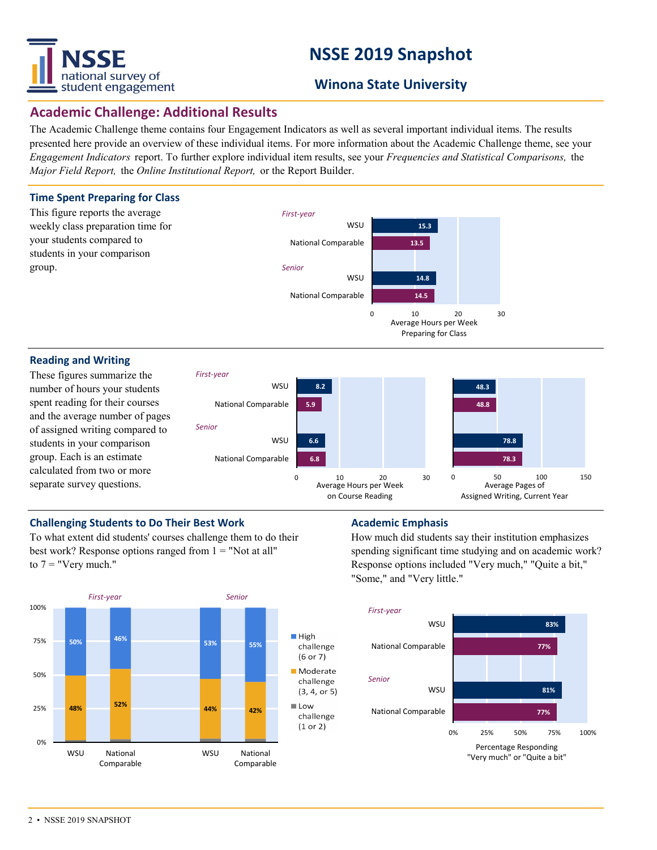

# **NSSE 2019 Snapshot**

### **Winona State University**

### **Academic Challenge: Additional Results**

The Academic Challenge theme contains four Engagement Indicators as well as several important individual items. The results presented here provide an overview of these individual items. For more information about the Academic Challenge theme, see your *Engagement Indicators* report. To further explore individual item results, see your *Frequencies and Statistical Comparisons,* the *Major Field Report,* the *Online Institutional Report,* or the Report Builder.

#### **Time Spent Preparing for Class**



#### **Reading and Writing**

These figures summarize the number of hours your students spent reading for their courses and the average number of pages of assigned writing compared to students in your comparison group. Each is an estimate calculated from two or more separate survey questions.



0 10 20 30

Average Hours per Week Preparing for Class

#### **Challenging Students to Do Their Best Work <b>Academic Emphasis**

To what extent did students' courses challenge them to do their best work? Response options ranged from  $1 =$  "Not at all" to  $7 =$  "Very much."



How much did students say their institution emphasizes spending significant time studying and on academic work? Response options included "Very much," "Quite a bit," "Some," and "Very little."

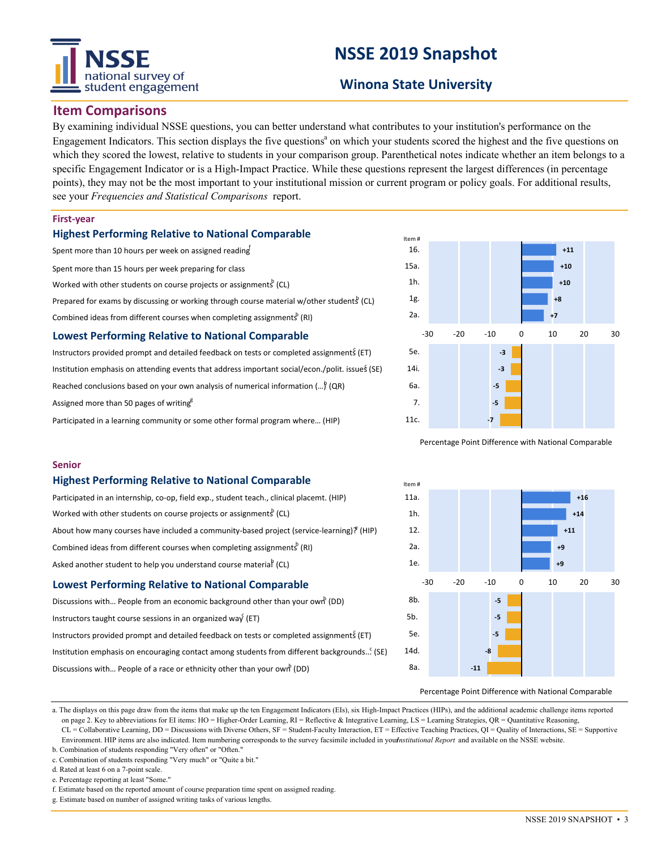# national survey of student engagement

# **NSSE 2019 Snapshot**

### **Winona State University**

#### **Item Comparisons**

By examining individual NSSE questions, you can better understand what contributes to your institution's performance on the Engagement Indicators. This section displays the five questions<sup>a</sup> on which your students scored the highest and the five questions on which they scored the lowest, relative to students in your comparison group. Parenthetical notes indicate whether an item belongs to a specific Engagement Indicator or is a High-Impact Practice. While these questions represent the largest differences (in percentage points), they may not be the most important to your institutional mission or current program or policy goals. For additional results, see your *Frequencies and Statistical Comparisons* report.

#### **First‐year**

**Senior**

#### **Highest Performing Relative to National Comparable**

Spent more than 10 hours per week on assigned reading Spent more than 15 hours per week preparing for class Worked with other students on course projects or assignments (CL) Prepared for exams by discussing or working through course material w/other students (CL) Combined ideas from different courses when completing assignments<sup>b</sup> (RI)

#### **Lowest Performing Relative to National Comparable**

**Highest Performing Relative to National Comparable**

Combined ideas from different courses when completing assignments<sup>b</sup> (RI) Asked another student to help you understand course material (CL)

**Lowest Performing Relative to National Comparable**

Discussions with... People of a race or ethnicity other than your own (DD)

Discussions with... People from an economic background other than your own<sup>b</sup> (DD)

Instructors provided prompt and detailed feedback on tests or completed assignments (ET) Institution emphasis on encouraging contact among students from different backgrounds... $\mathcal{E}$  (SE)

Worked with other students on course projects or assignments<sup>b</sup> (CL)

Participated in an internship, co‐op, field exp., student teach., clinical placemt. (HIP)

About how many courses have included a community-based project (service-learning)? (HIP)

Instructors provided prompt and detailed feedback on tests or completed assignments (ET) Institution emphasis on attending events that address important social/econ./polit. issues (SE) Reached conclusions based on your own analysis of numerical information  $(...)^{\circ}$  (QR) Assigned more than 50 pages of writing $g^g$ Participated in a learning community or some other formal program where… (HIP)



Percentage Point Difference with National Comparable



#### Percentage Point Difference with National Comparable

a. The displays on this page draw from the items that make up the ten Engagement Indicators (EIs), six High-Impact Practices (HIPs), and the additional academic challenge items reported on page 2. Key to abbreviations for EI items: HO = Higher-Order Learning, RI = Reflective & Integrative Learning, LS = Learning Strategies, QR = Quantitative Reasoning, CL = Collaborative Learning, DD = Discussions with Diverse Others, SF = Student-Faculty Interaction, ET = Effective Teaching Practices, QI = Quality of Interactions, SE = Supportive Environment. HIP items are also indicated. Item numbering corresponds to the survey facsimile included in yournstitutional Report and available on the NSSE website.

b. Combination of students responding "Very often" or "Often." c. Combination of students responding "Very much" or "Quite a bit."

Instructors taught course sessions in an organized way (ET)

d. Rated at least 6 on a 7-point scale.

e. Percentage reporting at least "Some."

f. Estimate based on the reported amount of course preparation time spent on assigned reading.

g. Estimate based on number of assigned writing tasks of various lengths.